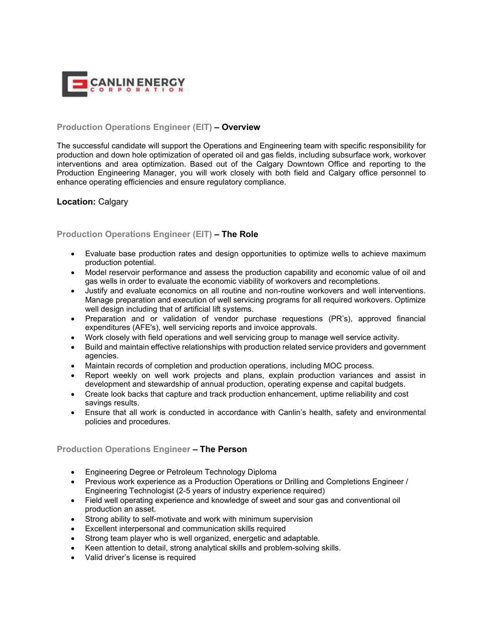

### **Production Operations Engineer (EIT) – Overview**

The successful candidate will support the Operations and Engineering team with specific responsibility for production and down hole optimization of operated oil and gas fields, including subsurface work, workover interventions and area optimization. Based out of the Calgary Downtown Office and reporting to the Production Engineering Manager, you will work closely with both field and Calgary office personnel to enhance operating efficiencies and ensure regulatory compliance.

### **Location:** Calgary

## **Production Operations Engineer (EIT) – The Role**

- Evaluate base production rates and design opportunities to optimize wells to achieve maximum production potential.
- Model reservoir performance and assess the production capability and economic value of oil and gas wells in order to evaluate the economic viability of workovers and recompletions.
- Justify and evaluate economics on all routine and non-routine workovers and well interventions. Manage preparation and execution of well servicing programs for all required workovers. Optimize well design including that of artificial lift systems.
- Preparation and or validation of vendor purchase requestions (PR's), approved financial expenditures (AFE's), well servicing reports and invoice approvals.
- Work closely with field operations and well servicing group to manage well service activity.
- Build and maintain effective relationships with production related service providers and government agencies.
- Maintain records of completion and production operations, including MOC process.
- Report weekly on well work projects and plans, explain production variances and assist in development and stewardship of annual production, operating expense and capital budgets.
- Create look backs that capture and track production enhancement, uptime reliability and cost savings results.
- Ensure that all work is conducted in accordance with Canlin's health, safety and environmental policies and procedures.

### **Production Operations Engineer – The Person**

- Engineering Degree or Petroleum Technology Diploma
- Previous work experience as a Production Operations or Drilling and Completions Engineer / Engineering Technologist (2-5 years of industry experience required)
- Field well operating experience and knowledge of sweet and sour gas and conventional oil production an asset.
- Strong ability to self-motivate and work with minimum supervision
- Excellent interpersonal and communication skills required
- Strong team player who is well organized, energetic and adaptable.
- Keen attention to detail, strong analytical skills and problem-solving skills.
- Valid driver's license is required